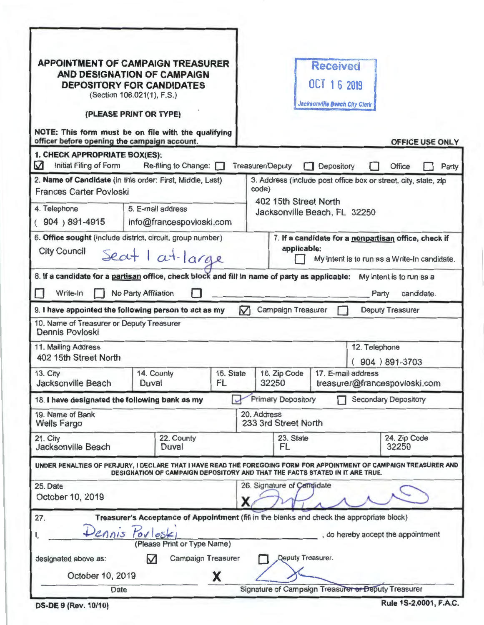| <b>APPOINTMENT OF CAMPAIGN TREASURER</b><br>AND DESIGNATION OF CAMPAIGN<br><b>DEPOSITORY FOR CANDIDATES</b><br>(Section 106.021(1), F.S.)<br>(PLEASE PRINT OR TYPE)<br>NOTE: This form must be on file with the qualifying<br>officer before opening the campaign account. |                                                                                                                                                             |                                                          |                                                     |                                                                                                                                   | <b>Received</b><br>OCT 1 6 2019<br>Jacksonville Beach City Clerk |       | <b>OFFICE USE ONLY</b>                 |       |  |
|----------------------------------------------------------------------------------------------------------------------------------------------------------------------------------------------------------------------------------------------------------------------------|-------------------------------------------------------------------------------------------------------------------------------------------------------------|----------------------------------------------------------|-----------------------------------------------------|-----------------------------------------------------------------------------------------------------------------------------------|------------------------------------------------------------------|-------|----------------------------------------|-------|--|
| 1. CHECK APPROPRIATE BOX(ES):<br>☑<br>Initial Filing of Form                                                                                                                                                                                                               | Re-filing to Change:                                                                                                                                        |                                                          | <b>Treasurer/Deputy</b>                             |                                                                                                                                   | Depository                                                       |       | <b>Office</b>                          | Party |  |
| 2. Name of Candidate (in this order: First, Middle, Last)<br><b>Frances Carter Povloski</b><br>5. E-mail address<br>4. Telephone<br>$(904)891-4915$<br>info@francespovloski.com                                                                                            |                                                                                                                                                             |                                                          |                                                     | 3. Address (include post office box or street, city, state, zip<br>code)<br>402 15th Street North<br>Jacksonville Beach, FL 32250 |                                                                  |       |                                        |       |  |
| 6. Office sought (include district, circuit, group number)<br><b>City Council</b><br>Seat I at large                                                                                                                                                                       |                                                                                                                                                             |                                                          |                                                     | 7. If a candidate for a nonpartisan office, check if<br>applicable:<br>My intent is to run as a Write-In candidate.               |                                                                  |       |                                        |       |  |
| 8. If a candidate for a partisan office, check block and fill in name of party as applicable:<br>Write-In                                                                                                                                                                  | No Party Affiliation                                                                                                                                        |                                                          |                                                     |                                                                                                                                   |                                                                  | Party | My intent is to run as a<br>candidate. |       |  |
| $\triangledown$<br><b>Campaign Treasurer</b><br>9. I have appointed the following person to act as my<br><b>Deputy Treasurer</b>                                                                                                                                           |                                                                                                                                                             |                                                          |                                                     |                                                                                                                                   |                                                                  |       |                                        |       |  |
| 10. Name of Treasurer or Deputy Treasurer<br>Dennis Povloski                                                                                                                                                                                                               |                                                                                                                                                             |                                                          |                                                     |                                                                                                                                   |                                                                  |       |                                        |       |  |
| 11. Mailing Address<br>402 15th Street North                                                                                                                                                                                                                               |                                                                                                                                                             |                                                          |                                                     | 12. Telephone<br>904 ) 891-3703                                                                                                   |                                                                  |       |                                        |       |  |
| 13. City<br>Jacksonville Beach                                                                                                                                                                                                                                             | 14. County<br>Duval                                                                                                                                         | 15. State<br>FL                                          |                                                     | 16. Zip Code<br>32250                                                                                                             | 17. E-mail address<br>treasurer@francespovloski.com              |       |                                        |       |  |
| 18. I have designated the following bank as my                                                                                                                                                                                                                             |                                                                                                                                                             | <b>Primary Depository</b><br><b>Secondary Depository</b> |                                                     |                                                                                                                                   |                                                                  |       |                                        |       |  |
| 19. Name of Bank<br><b>Wells Fargo</b>                                                                                                                                                                                                                                     |                                                                                                                                                             |                                                          |                                                     | 20. Address<br>233 3rd Street North                                                                                               |                                                                  |       |                                        |       |  |
| 21. City<br>22. County<br><b>Jacksonville Beach</b><br>Duval                                                                                                                                                                                                               |                                                                                                                                                             |                                                          |                                                     | 23. State<br>FL                                                                                                                   |                                                                  |       | 24. Zip Code<br>32250                  |       |  |
| UNDER PENALTIES OF PERJURY, I DECLARE THAT I HAVE READ THE FOREGOING FORM FOR APPOINTMENT OF CAMPAIGN TREASURER AND                                                                                                                                                        | DESIGNATION OF CAMPAIGN DEPOSITORY AND THAT THE FACTS STATED IN IT ARE TRUE.                                                                                |                                                          |                                                     |                                                                                                                                   |                                                                  |       |                                        |       |  |
| 25. Date<br>October 10, 2019                                                                                                                                                                                                                                               |                                                                                                                                                             |                                                          |                                                     | 26. Signature of Candidate                                                                                                        |                                                                  |       |                                        |       |  |
| 27.<br>Pennis Porlosk<br>designated above as:                                                                                                                                                                                                                              | Treasurer's Acceptance of Appointment (fill in the blanks and check the appropriate block)<br>(Please Print or Type Name)<br><b>Campaign Treasurer</b><br>M |                                                          |                                                     | <b>Qeputy Treasurer.</b>                                                                                                          |                                                                  |       | , do hereby accept the appointment     |       |  |
| October 10, 2019                                                                                                                                                                                                                                                           |                                                                                                                                                             | X                                                        |                                                     |                                                                                                                                   |                                                                  |       |                                        |       |  |
| Date                                                                                                                                                                                                                                                                       |                                                                                                                                                             |                                                          | Signature of Campaign Treasurer or Deputy Treasurer |                                                                                                                                   |                                                                  |       |                                        |       |  |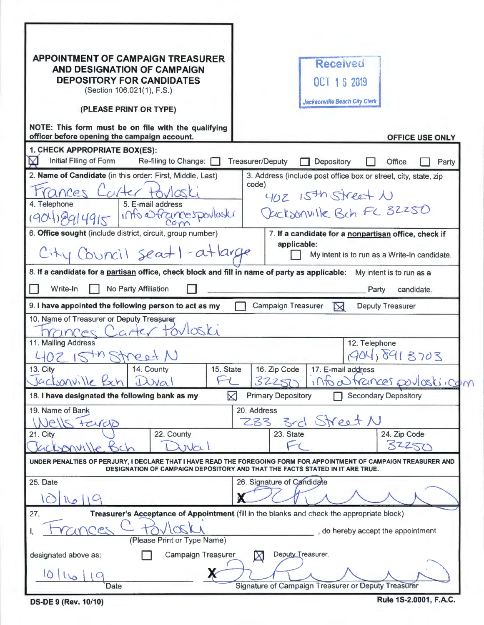| <b>APPOINTMENT OF CAMPAIGN TREASURER</b><br>AND DESIGNATION OF CAMPAIGN<br><b>DEPOSITORY FOR CANDIDATES</b><br>(Section 106.021(1), F.S.)                               | <b>Received</b><br>OCT 1 6 2019<br><b>Jacksonville Beach City Clerk</b>                                                                                                                             |  |  |  |  |  |  |
|-------------------------------------------------------------------------------------------------------------------------------------------------------------------------|-----------------------------------------------------------------------------------------------------------------------------------------------------------------------------------------------------|--|--|--|--|--|--|
| (PLEASE PRINT OR TYPE)<br>NOTE: This form must be on file with the qualifying                                                                                           |                                                                                                                                                                                                     |  |  |  |  |  |  |
| officer before opening the campaign account.                                                                                                                            | <b>OFFICE USE ONLY</b>                                                                                                                                                                              |  |  |  |  |  |  |
| 1. CHECK APPROPRIATE BOX(ES):<br>Initial Filing of Form<br>M<br>Re-filing to Change:                                                                                    | <b>Treasurer/Deputy</b><br>Depository<br>Office<br>Party                                                                                                                                            |  |  |  |  |  |  |
| 2. Name of Candidate (in this order: First, Middle, Last)<br>rances Carter<br>4. Telephone<br>5. E-mail address<br>1904) 8914915 Info extrances portostes<br>Com        | 3. Address (include post office box or street, city, state, zip<br>code)<br>402 15th Street N<br>Occksonville Bch FC 32250                                                                          |  |  |  |  |  |  |
| 6. Office sought (include district, circuit, group number)<br>City Council seatl-atlarge                                                                                | 7. If a candidate for a nonpartisan office, check if<br>applicable:<br>My intent is to run as a Write-In candidate.                                                                                 |  |  |  |  |  |  |
| 8. If a candidate for a partisan office, check block and fill in name of party as applicable:                                                                           | My intent is to run as a                                                                                                                                                                            |  |  |  |  |  |  |
| No Party Affiliation<br>Write-In                                                                                                                                        | Party<br>candidate.                                                                                                                                                                                 |  |  |  |  |  |  |
| 9. I have appointed the following person to act as my<br>Campaign Treasurer<br><b>Deputy Treasurer</b>                                                                  |                                                                                                                                                                                                     |  |  |  |  |  |  |
| 10. Name of Treasurer or Deputy Treasurer<br>Carter torloski<br>290013<br>11. Mailing Address<br>CHN KY<br>14. County<br>15. State<br>13. City<br>Jacksonville Bah Duva | 12. Telephone<br>1904,8913703<br>16. Zip Code<br>17. E-mail address<br>informances poulasticom<br>32251                                                                                             |  |  |  |  |  |  |
| 18. I have designated the following bank as my<br><b>Primary Depository</b><br><b>Secondary Depository</b><br>M                                                         |                                                                                                                                                                                                     |  |  |  |  |  |  |
| 19. Name of Bank<br>$P/ \rho $<br>tardo<br>22. County<br>21. City<br>$\upsilon$<br>301111e                                                                              | 20. Address<br>3rd Street N<br>233<br>24. Zip Code<br>23. State<br>32257                                                                                                                            |  |  |  |  |  |  |
|                                                                                                                                                                         | UNDER PENALTIES OF PERJURY, I DECLARE THAT I HAVE READ THE FOREGOING FORM FOR APPOINTMENT OF CAMPAIGN TREASURER AND<br>DESIGNATION OF CAMPAIGN DEPOSITORY AND THAT THE FACTS STATED IN IT ARE TRUE. |  |  |  |  |  |  |
| 25. Date                                                                                                                                                                | 26. Signature of Candidate                                                                                                                                                                          |  |  |  |  |  |  |
| 27.<br><b>CAS</b><br>(Please Print or Type Name)                                                                                                                        | Treasurer's Acceptance of Appointment (fill in the blanks and check the appropriate block)<br>, do hereby accept the appointment                                                                    |  |  |  |  |  |  |
| Deputy Treasurer.<br>Campaign Treasurer<br>designated above as:<br>$\boxtimes$                                                                                          |                                                                                                                                                                                                     |  |  |  |  |  |  |
| 10/16<br>Signature of Campaign Treasurer or Deputy Treasurer<br>Date                                                                                                    |                                                                                                                                                                                                     |  |  |  |  |  |  |

**DS-DE 9 (Rev. 10/10)** Rule 1S-2.0001, F.A.C.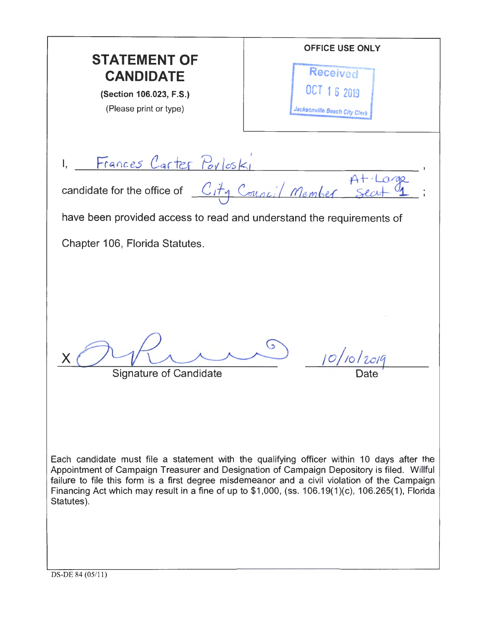OFFICE USE ONLY **STATEMENT OF**  Received **CANDIDATE**  OCT 1 6 2019 (Section 106.023, F.S.) (Please print or type) Jacksonville Beach City Clerk 1. Frances Carter Porloski candidate for the office of  $C_i$ ty Council Member have been provided access to read and understand the requirements of Chapter 106, Florida Statutes.  $x$   $\bigcirc$   $\bigcirc$   $\bigcirc$   $\bigcirc$   $\bigcirc$   $\bigcirc$   $\bigcirc$   $\bigcirc$   $\bigcirc$   $\bigcirc$   $\bigcirc$   $\bigcirc$   $\bigcirc$   $\bigcirc$   $\bigcirc$   $\bigcirc$   $\bigcirc$   $\bigcirc$   $\bigcirc$   $\bigcirc$   $\bigcirc$   $\bigcirc$   $\bigcirc$   $\bigcirc$   $\bigcirc$   $\bigcirc$   $\bigcirc$   $\bigcirc$   $\bigcirc$   $\bigcirc$   $\bigcirc$   $\bigcirc$   $\bigcirc$   $\bigcirc$   $\bigcirc$   $\bigcirc$   $10/10/2019$ Signature of Candidate Each candidate must file a statement with the qualifying officer within 10 days after the Appointment of Campaign Treasurer and Designation of Campaign Depository is filed. Willful failure to file this form is a first degree misdemeanor and a civil violation of the Campaign Financing Act which may result in a fine of up to \$1,000, (ss. 106.19(1)(c), 106.265(1), Florida Statutes).